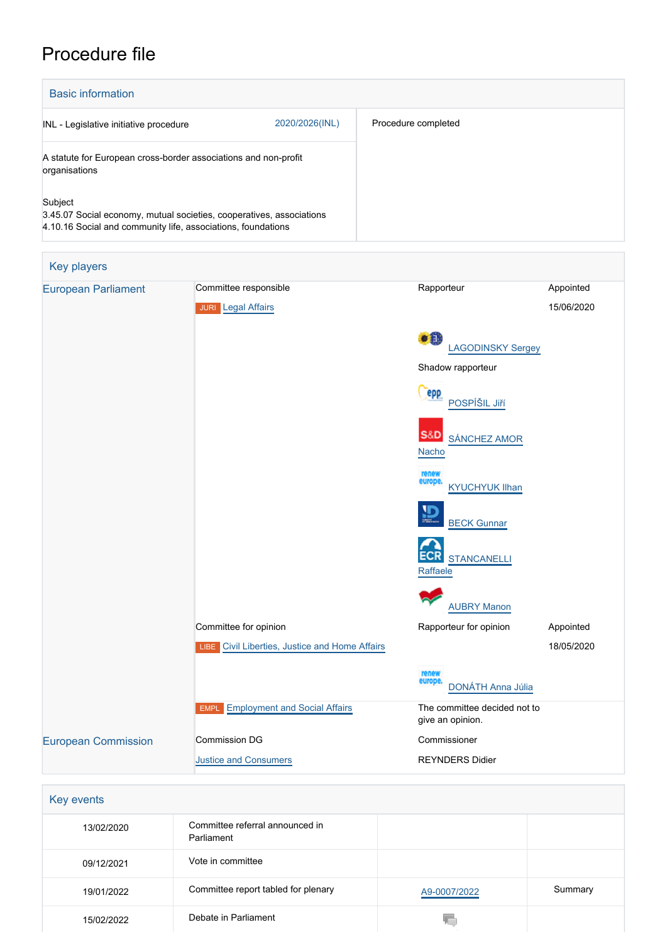# Procedure file

| <b>Basic information</b>                                                                                                                        |                |                     |  |  |
|-------------------------------------------------------------------------------------------------------------------------------------------------|----------------|---------------------|--|--|
| INL - Legislative initiative procedure                                                                                                          | 2020/2026(INL) | Procedure completed |  |  |
| A statute for European cross-border associations and non-profit<br>organisations                                                                |                |                     |  |  |
| Subject<br>3.45.07 Social economy, mutual societies, cooperatives, associations<br>4.10.16 Social and community life, associations, foundations |                |                     |  |  |

| <b>Key players</b>         |                                                |                                                  |            |
|----------------------------|------------------------------------------------|--------------------------------------------------|------------|
| <b>European Parliament</b> | Committee responsible                          | Rapporteur                                       | Appointed  |
|                            | JURI Legal Affairs                             |                                                  | 15/06/2020 |
|                            |                                                | $\bullet$<br><b>LAGODINSKY Sergey</b>            |            |
|                            |                                                | Shadow rapporteur                                |            |
|                            |                                                | epp<br>POSPÍŠIL Jiří                             |            |
|                            |                                                | <b>S&amp;D</b><br><b>SÁNCHEZ AMOR</b><br>Nacho   |            |
|                            |                                                | renew<br>europe.<br><b>KYUCHYUK Ilhan</b>        |            |
|                            |                                                | <u>ים</u><br><b>BECK Gunnar</b>                  |            |
|                            |                                                | <b>STANCANELLI</b><br>Raffaele                   |            |
|                            |                                                | <b>AUBRY Manon</b>                               |            |
|                            | Committee for opinion                          | Rapporteur for opinion                           | Appointed  |
|                            | LIBE Civil Liberties, Justice and Home Affairs |                                                  | 18/05/2020 |
|                            |                                                | renew<br>europe<br><b>DONÁTH Anna Júlia</b>      |            |
|                            | <b>EMPL</b> Employment and Social Affairs      | The committee decided not to<br>give an opinion. |            |
| <b>European Commission</b> | Commission DG<br>Commissioner                  |                                                  |            |
|                            | <b>Justice and Consumers</b>                   | <b>REYNDERS Didier</b>                           |            |
|                            |                                                |                                                  |            |

| Key events |                                               |              |         |
|------------|-----------------------------------------------|--------------|---------|
| 13/02/2020 | Committee referral announced in<br>Parliament |              |         |
| 09/12/2021 | Vote in committee                             |              |         |
| 19/01/2022 | Committee report tabled for plenary           | A9-0007/2022 | Summary |
| 15/02/2022 | Debate in Parliament                          | W.           |         |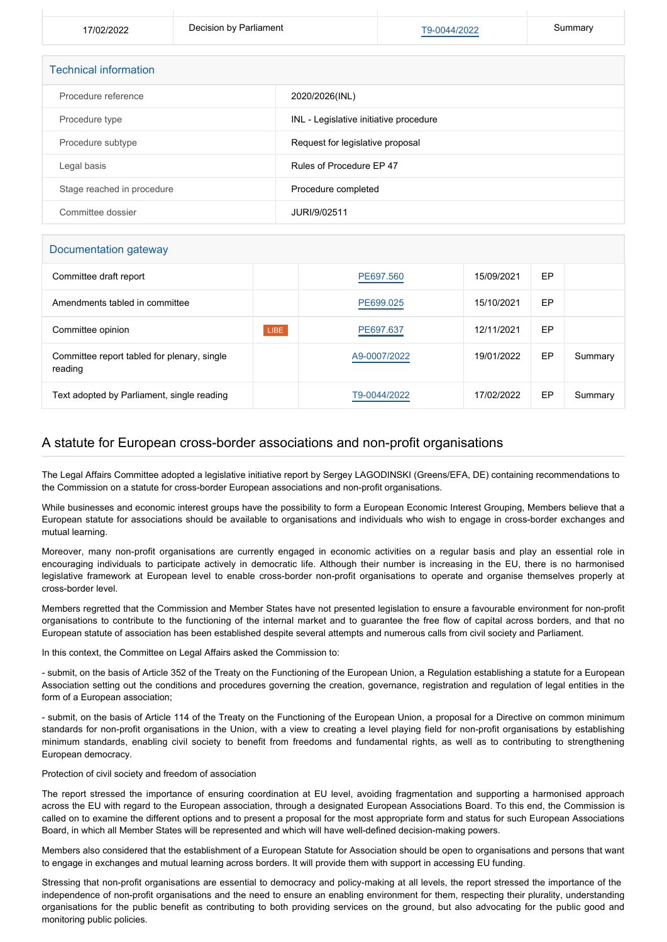17/02/2022 **Decision by Parliament** [T9-0044/2022](https://www.europarl.europa.eu/doceo/document/TA-9-2022-0044_EN.html) Summary

| <b>Technical information</b> |                                        |
|------------------------------|----------------------------------------|
| Procedure reference          | 2020/2026(INL)                         |
| Procedure type               | INL - Legislative initiative procedure |
| Procedure subtype            | Request for legislative proposal       |
| Legal basis                  | Rules of Procedure EP 47               |
| Stage reached in procedure   | Procedure completed                    |
| Committee dossier            | JURI/9/02511                           |

### Documentation gateway

| Committee draft report                                 |      | PE697.560    | 15/09/2021 | EP |         |
|--------------------------------------------------------|------|--------------|------------|----|---------|
| Amendments tabled in committee                         |      | PE699.025    | 15/10/2021 | EP |         |
| Committee opinion                                      | LIBE | PE697.637    | 12/11/2021 | EP |         |
| Committee report tabled for plenary, single<br>reading |      | A9-0007/2022 | 19/01/2022 | EP | Summary |
| Text adopted by Parliament, single reading             |      | T9-0044/2022 | 17/02/2022 | EP | Summary |

## A statute for European cross-border associations and non-profit organisations

The Legal Affairs Committee adopted a legislative initiative report by Sergey LAGODINSKI (Greens/EFA, DE) containing recommendations to the Commission on a statute for cross-border European associations and non-profit organisations.

While businesses and economic interest groups have the possibility to form a European Economic Interest Grouping, Members believe that a European statute for associations should be available to organisations and individuals who wish to engage in cross-border exchanges and mutual learning.

Moreover, many non-profit organisations are currently engaged in economic activities on a regular basis and play an essential role in encouraging individuals to participate actively in democratic life. Although their number is increasing in the EU, there is no harmonised legislative framework at European level to enable cross-border non-profit organisations to operate and organise themselves properly at cross-border level.

Members regretted that the Commission and Member States have not presented legislation to ensure a favourable environment for non-profit organisations to contribute to the functioning of the internal market and to guarantee the free flow of capital across borders, and that no European statute of association has been established despite several attempts and numerous calls from civil society and Parliament.

In this context, the Committee on Legal Affairs asked the Commission to:

- submit, on the basis of Article 352 of the Treaty on the Functioning of the European Union, a Regulation establishing a statute for a European Association setting out the conditions and procedures governing the creation, governance, registration and regulation of legal entities in the form of a European association;

- submit, on the basis of Article 114 of the Treaty on the Functioning of the European Union, a proposal for a Directive on common minimum standards for non-profit organisations in the Union, with a view to creating a level playing field for non-profit organisations by establishing minimum standards, enabling civil society to benefit from freedoms and fundamental rights, as well as to contributing to strengthening European democracy.

#### Protection of civil society and freedom of association

The report stressed the importance of ensuring coordination at EU level, avoiding fragmentation and supporting a harmonised approach across the EU with regard to the European association, through a designated European Associations Board. To this end, the Commission is called on to examine the different options and to present a proposal for the most appropriate form and status for such European Associations Board, in which all Member States will be represented and which will have well-defined decision-making powers.

Members also considered that the establishment of a European Statute for Association should be open to organisations and persons that want to engage in exchanges and mutual learning across borders. It will provide them with support in accessing EU funding.

Stressing that non-profit organisations are essential to democracy and policy-making at all levels, the report stressed the importance of the independence of non-profit organisations and the need to ensure an enabling environment for them, respecting their plurality, understanding organisations for the public benefit as contributing to both providing services on the ground, but also advocating for the public good and monitoring public policies.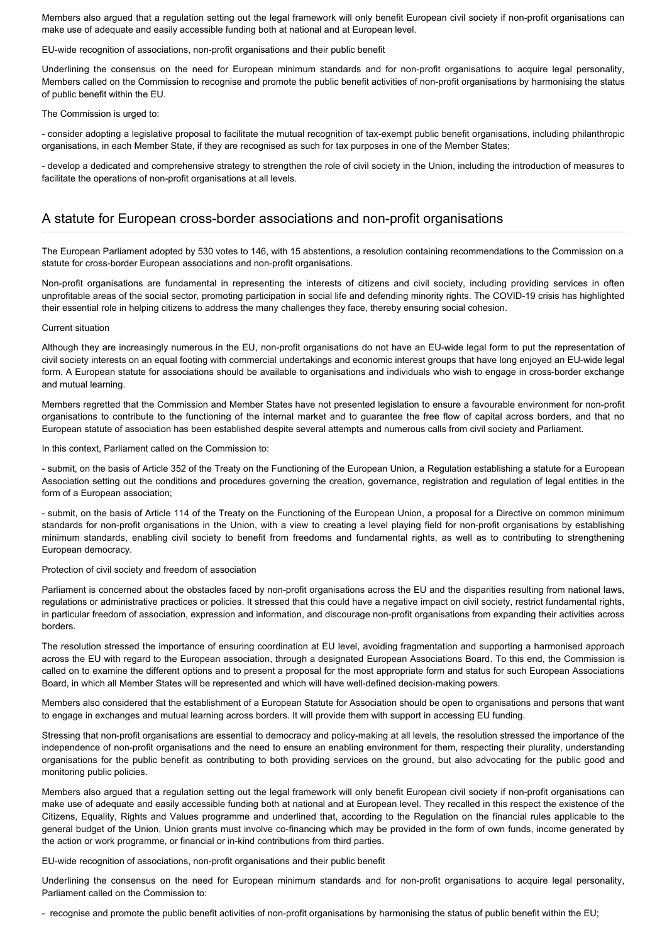Members also argued that a regulation setting out the legal framework will only benefit European civil society if non-profit organisations can make use of adequate and easily accessible funding both at national and at European level.

EU-wide recognition of associations, non-profit organisations and their public benefit

Underlining the consensus on the need for European minimum standards and for non-profit organisations to acquire legal personality, Members called on the Commission to recognise and promote the public benefit activities of non-profit organisations by harmonising the status of public benefit within the EU.

The Commission is urged to:

- consider adopting a legislative proposal to facilitate the mutual recognition of tax-exempt public benefit organisations, including philanthropic organisations, in each Member State, if they are recognised as such for tax purposes in one of the Member States;

- develop a dedicated and comprehensive strategy to strengthen the role of civil society in the Union, including the introduction of measures to facilitate the operations of non-profit organisations at all levels.

## A statute for European cross-border associations and non-profit organisations

The European Parliament adopted by 530 votes to 146, with 15 abstentions, a resolution containing recommendations to the Commission on a statute for cross-border European associations and non-profit organisations.

Non-profit organisations are fundamental in representing the interests of citizens and civil society, including providing services in often unprofitable areas of the social sector, promoting participation in social life and defending minority rights. The COVID-19 crisis has highlighted their essential role in helping citizens to address the many challenges they face, thereby ensuring social cohesion.

#### Current situation

Although they are increasingly numerous in the EU, non-profit organisations do not have an EU-wide legal form to put the representation of civil society interests on an equal footing with commercial undertakings and economic interest groups that have long enjoyed an EU-wide legal form. A European statute for associations should be available to organisations and individuals who wish to engage in cross-border exchange and mutual learning.

Members regretted that the Commission and Member States have not presented legislation to ensure a favourable environment for non-profit organisations to contribute to the functioning of the internal market and to guarantee the free flow of capital across borders, and that no European statute of association has been established despite several attempts and numerous calls from civil society and Parliament.

In this context, Parliament called on the Commission to:

- submit, on the basis of Article 352 of the Treaty on the Functioning of the European Union, a Regulation establishing a statute for a European Association setting out the conditions and procedures governing the creation, governance, registration and regulation of legal entities in the form of a European association;

- submit, on the basis of Article 114 of the Treaty on the Functioning of the European Union, a proposal for a Directive on common minimum standards for non-profit organisations in the Union, with a view to creating a level playing field for non-profit organisations by establishing minimum standards, enabling civil society to benefit from freedoms and fundamental rights, as well as to contributing to strengthening European democracy.

Protection of civil society and freedom of association

Parliament is concerned about the obstacles faced by non-profit organisations across the EU and the disparities resulting from national laws, regulations or administrative practices or policies. It stressed that this could have a negative impact on civil society, restrict fundamental rights, in particular freedom of association, expression and information, and discourage non-profit organisations from expanding their activities across borders.

The resolution stressed the importance of ensuring coordination at EU level, avoiding fragmentation and supporting a harmonised approach across the EU with regard to the European association, through a designated European Associations Board. To this end, the Commission is called on to examine the different options and to present a proposal for the most appropriate form and status for such European Associations Board, in which all Member States will be represented and which will have well-defined decision-making powers.

Members also considered that the establishment of a European Statute for Association should be open to organisations and persons that want to engage in exchanges and mutual learning across borders. It will provide them with support in accessing EU funding.

Stressing that non-profit organisations are essential to democracy and policy-making at all levels, the resolution stressed the importance of the independence of non-profit organisations and the need to ensure an enabling environment for them, respecting their plurality, understanding organisations for the public benefit as contributing to both providing services on the ground, but also advocating for the public good and monitoring public policies.

Members also argued that a regulation setting out the legal framework will only benefit European civil society if non-profit organisations can make use of adequate and easily accessible funding both at national and at European level. They recalled in this respect the existence of the Citizens, Equality, Rights and Values programme and underlined that, according to the Regulation on the financial rules applicable to the general budget of the Union, Union grants must involve co-financing which may be provided in the form of own funds, income generated by the action or work programme, or financial or in-kind contributions from third parties.

EU-wide recognition of associations, non-profit organisations and their public benefit

Underlining the consensus on the need for European minimum standards and for non-profit organisations to acquire legal personality, Parliament called on the Commission to:

- recognise and promote the public benefit activities of non-profit organisations by harmonising the status of public benefit within the EU;